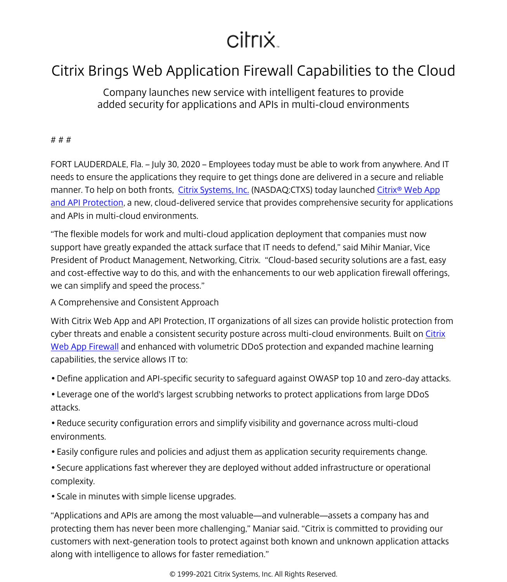## citrix.

## Citrix Brings Web Application Firewall Capabilities to the Cloud

Company launches new service with intelligent features to provide added security for applications and APIs in multi-cloud environments

## # # #

FORT LAUDERDALE, Fla. – July 30, 2020 – Employees today must be able to work from anywhere. And IT needs to ensure the applications they require to get things done are delivered in a secure and reliable manner. To help on both fronts, [Citrix Systems, Inc.](/content/citrix/en-id/
            .html) (NASDAQ:CTXS) today launched Citrix<sup>®</sup> Web App [and API Protection](/content/citrix/en-id/products/citrix-web-app-and-api-protection.html), a new, cloud-delivered service that provides comprehensive security for applications and APIs in multi-cloud environments.

"The flexible models for work and multi-cloud application deployment that companies must now support have greatly expanded the attack surface that IT needs to defend," said Mihir Maniar, Vice President of Product Management, Networking, Citrix. "Cloud-based security solutions are a fast, easy and cost-effective way to do this, and with the enhancements to our web application firewall offerings, we can simplify and speed the process."

A Comprehensive and Consistent Approach

With Citrix Web App and API Protection, IT organizations of all sizes can provide holistic protection from cyber threats and enable a consistent security posture across multi-cloud environments. Built on [Citrix](/content/citrix/en-id/products/citrix-web-app-firewall/
            .html) [Web App Firewall](/content/citrix/en-id/products/citrix-web-app-firewall/
            .html) and enhanced with volumetric DDoS protection and expanded machine learning capabilities, the service allows IT to:

- Define application and API-specific security to safeguard against OWASP top 10 and zero-day attacks.
- Leverage one of the world's largest scrubbing networks to protect applications from large DDoS attacks.
- Reduce security configuration errors and simplify visibility and governance across multi-cloud environments.
- Easily configure rules and policies and adjust them as application security requirements change.
- Secure applications fast wherever they are deployed without added infrastructure or operational complexity.
- Scale in minutes with simple license upgrades.

"Applications and APIs are among the most valuable—and vulnerable—assets a company has and protecting them has never been more challenging," Maniar said. "Citrix is committed to providing our customers with next-generation tools to protect against both known and unknown application attacks along with intelligence to allows for faster remediation."

© 1999-2021 Citrix Systems, Inc. All Rights Reserved.